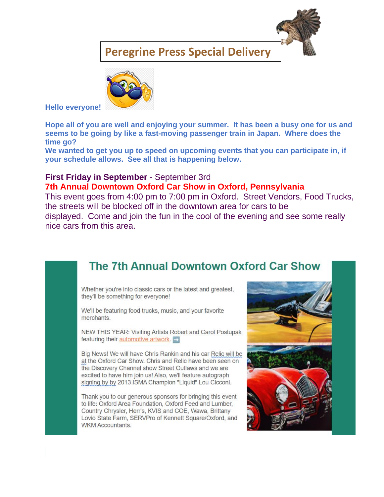### **Peregrine Press Special Delivery**



**Hello everyone!** 

**Hope all of you are well and enjoying your summer. It has been a busy one for us and seems to be going by like a fast-moving passenger train in Japan. Where does the time go?**

**We wanted to get you up to speed on upcoming events that you can participate in, if your schedule allows. See all that is happening below.**

### **First Friday in September** - September 3rd **7th Annual Downtown Oxford Car Show in Oxford, Pennsylvania**

This event goes from 4:00 pm to 7:00 pm in Oxford. Street Vendors, Food Trucks, the streets will be blocked off in the downtown area for cars to be displayed. Come and join the fun in the cool of the evening and see some really nice cars from this area.

## The 7th Annual Downtown Oxford Car Show

Whether you're into classic cars or the latest and greatest, they'll be something for everyone!

We'll be featuring food trucks, music, and your favorite merchants.

NEW THIS YEAR: Visiting Artists Robert and Carol Postupak featuring their **automotive artwork.** 

Big News! We will have Chris Rankin and his car Relic will be at the Oxford Car Show. Chris and Relic have been seen on the Discovery Channel show Street Outlaws and we are excited to have him join us! Also, we'll feature autograph signing by by 2013 ISMA Champion "Liquid" Lou Cicconi.

Thank you to our generous sponsors for bringing this event to life: Oxford Area Foundation, Oxford Feed and Lumber, Country Chrysler, Herr's, KVIS and COE, Wawa, Brittany Lovio State Farm, SERVPro of Kennett Square/Oxford, and **WKM Accountants.** 

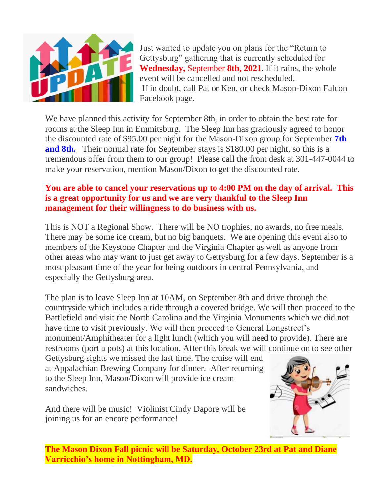

Just wanted to update you on plans for the "Return to Gettysburg" gathering that is currently scheduled for **Wednesday,** September **8th, 2021**. If it rains, the whole event will be cancelled and not rescheduled. If in doubt, call Pat or Ken, or check Mason-Dixon Falcon Facebook page.

We have planned this activity for September 8th, in order to obtain the best rate for rooms at the Sleep Inn in Emmitsburg. The Sleep Inn has graciously agreed to honor the discounted rate of \$95.00 per night for the Mason-Dixon group for September **7th and 8th.** Their normal rate for September stays is \$180.00 per night, so this is a tremendous offer from them to our group! Please call the front desk at 301-447-0044 to make your reservation, mention Mason/Dixon to get the discounted rate.

#### **You are able to cancel your reservations up to 4:00 PM on the day of arrival. This is a great opportunity for us and we are very thankful to the Sleep Inn management for their willingness to do business with us.**

This is NOT a Regional Show. There will be NO trophies, no awards, no free meals. There may be some ice cream, but no big banquets. We are opening this event also to members of the Keystone Chapter and the Virginia Chapter as well as anyone from other areas who may want to just get away to Gettysburg for a few days. September is a most pleasant time of the year for being outdoors in central Pennsylvania, and especially the Gettysburg area.

The plan is to leave Sleep Inn at 10AM, on September 8th and drive through the countryside which includes a ride through a covered bridge. We will then proceed to the Battlefield and visit the North Carolina and the Virginia Monuments which we did not have time to visit previously. We will then proceed to General Longstreet's monument/Amphitheater for a light lunch (which you will need to provide). There are restrooms (port a pots) at this location. After this break we will continue on to see other

Gettysburg sights we missed the last time. The cruise will end at Appalachian Brewing Company for dinner. After returning to the Sleep Inn, Mason/Dixon will provide ice cream sandwiches.

And there will be music! Violinist Cindy Dapore will be joining us for an encore performance!



**The Mason Dixon Fall picnic will be Saturday, October 23rd at Pat and Diane Varricchio's home in Nottingham, MD.**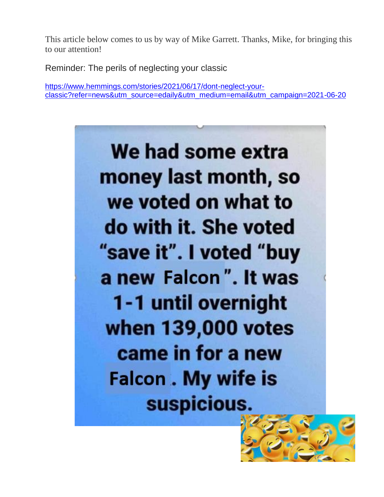This article below comes to us by way of Mike Garrett. Thanks, Mike, for bringing this to our attention!

Reminder: The perils of neglecting your classic

[https://www.hemmings.com/stories/2021/06/17/dont-neglect-your](https://www.hemmings.com/stories/2021/06/17/dont-neglect-your-classic?refer=news&utm_source=edaily&utm_medium=email&utm_campaign=2021-06-20)[classic?refer=news&utm\\_source=edaily&utm\\_medium=email&utm\\_campaign=2021-06-20](https://www.hemmings.com/stories/2021/06/17/dont-neglect-your-classic?refer=news&utm_source=edaily&utm_medium=email&utm_campaign=2021-06-20)



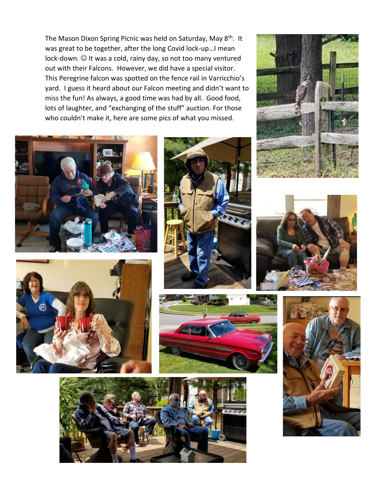The Mason Dixon Spring Picnic was held on Saturday, May 8<sup>th</sup>. It was great to be together, after the long Covid lock-up…I mean lock-down.  $\odot$  It was a cold, rainy day, so not too many ventured out with their Falcons. However, we did have a special visitor. This Peregrine falcon was spotted on the fence rail in Varricchio's yard. I guess it heard about our Falcon meeting and didn't want to miss the fun! As always, a good time was had by all. Good food, lots of laughter, and "exchanging of the stuff" auction. For those who couldn't make it, here are some pics of what you missed.















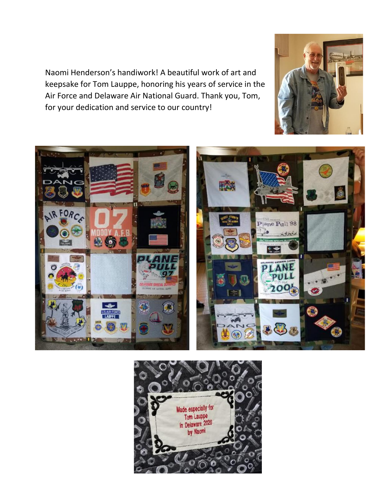Naomi Henderson's handiwork! A beautiful work of art and keepsake for Tom Lauppe, honoring his years of service in the Air Force and Delaware Air National Guard. Thank you, Tom, for your dedication and service to our country!